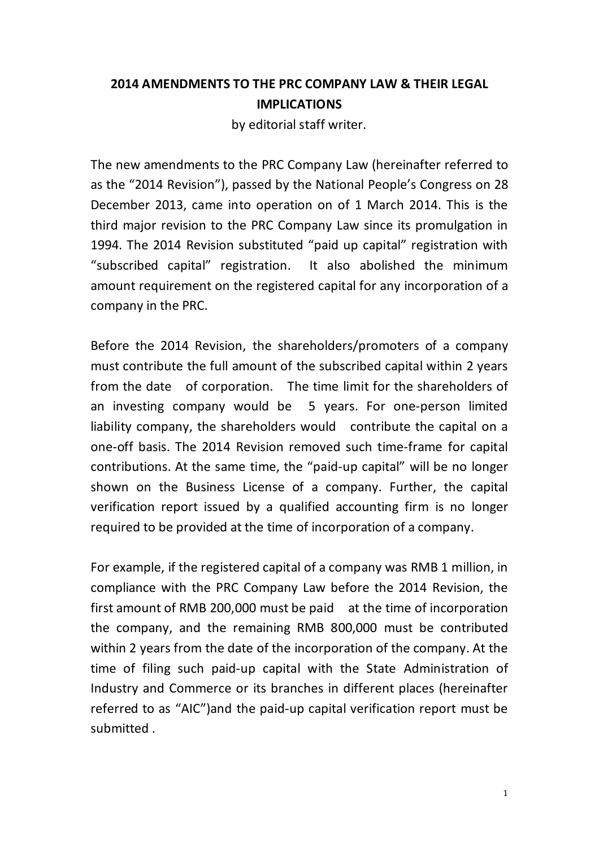## 2014 AMENDMENTS TO THE PRC COMPANY LAW & THEIR LEGAL IMPLICATIONS

by editorial staff writer.

The new amendments to the PRC Company Law (hereinafter referred to as the "2014 Revision"), passed by the National People's Congress on 28 December 2013, came into operation on of 1 March 2014. This is the third major revision to the PRC Company Law since its promulgation in 1994. The 2014 Revision substituted "paid up capital" registration with "subscribed capital" registration. It also abolished the minimum amount requirement on the registered capital for any incorporation of a company in the PRC.

Before the 2014 Revision, the shareholders/promoters of a company must contribute the full amount of the subscribed capital within 2 years from the date of corporation. The time limit for the shareholders of an investing company would be 5 years. For one-person limited liability company, the shareholders would contribute the capital on a one-off basis. The 2014 Revision removed such time-frame for capital contributions. At the same time, the "paid-up capital" will be no longer shown on the Business License of a company. Further, the capital verification report issued by a qualified accounting firm is no longer required to be provided at the time of incorporation of a company.

For example, if the registered capital of a company was RMB 1 million, in compliance with the PRC Company Law before the 2014 Revision, the first amount of RMB 200,000 must be paid at the time of incorporation the company, and the remaining RMB 800,000 must be contributed within 2 years from the date of the incorporation of the company. At the time of filing such paid-up capital with the State Administration of Industry and Commerce or its branches in different places (hereinafter referred to as "AIC")and the paid-up capital verification report must be submitted .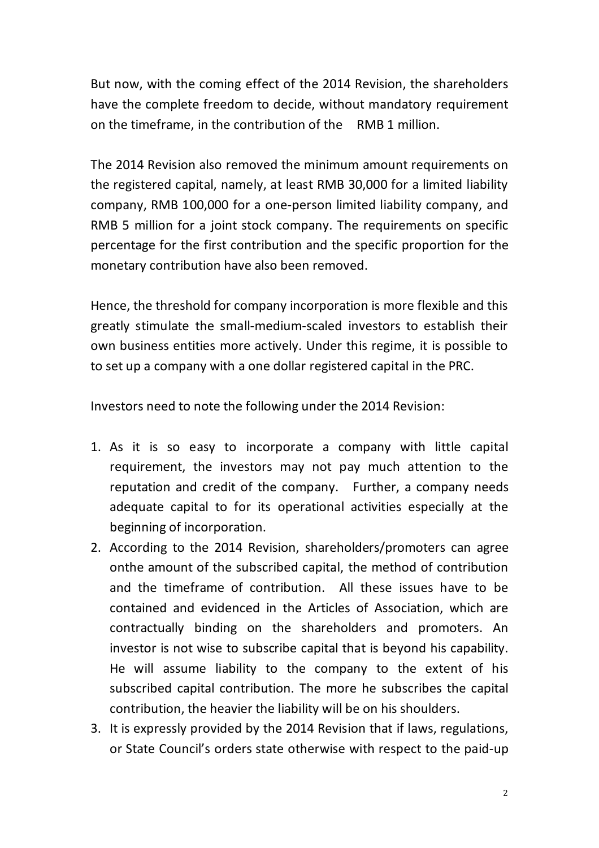But now, with the coming effect of the 2014 Revision, the shareholders have the complete freedom to decide, without mandatory requirement on the timeframe, in the contribution of the RMB 1 million.

The 2014 Revision also removed the minimum amount requirements on the registered capital, namely, at least RMB 30,000 for a limited liability company, RMB 100,000 for a one-person limited liability company, and RMB 5 million for a joint stock company. The requirements on specific percentage for the first contribution and the specific proportion for the monetary contribution have also been removed.

Hence, the threshold for company incorporation is more flexible and this greatly stimulate the small-medium-scaled investors to establish their own business entities more actively. Under this regime, it is possible to to set up a company with a one dollar registered capital in the PRC.

Investors need to note the following under the 2014 Revision:

- 1. As it is so easy to incorporate a company with little capital requirement, the investors may not pay much attention to the reputation and credit of the company. Further, a company needs adequate capital to for its operational activities especially at the beginning of incorporation.
- 2. According to the 2014 Revision, shareholders/promoters can agree onthe amount of the subscribed capital, the method of contribution and the timeframe of contribution. All these issues have to be contained and evidenced in the Articles of Association, which are contractually binding on the shareholders and promoters. An investor is not wise to subscribe capital that is beyond his capability. He will assume liability to the company to the extent of his subscribed capital contribution. The more he subscribes the capital contribution, the heavier the liability will be on his shoulders.
- 3. It is expressly provided by the 2014 Revision that if laws, regulations, or State Council's orders state otherwise with respect to the paid-up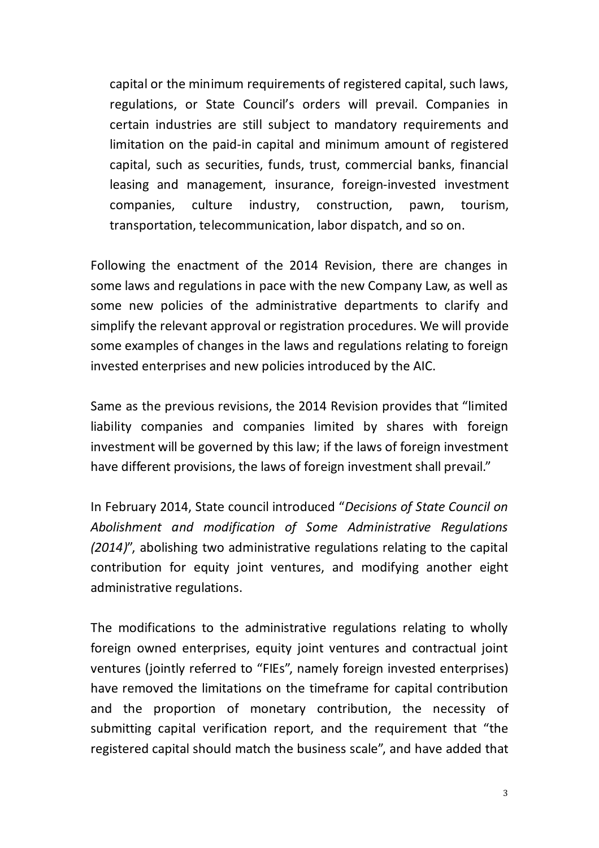capital or the minimum requirements of registered capital, such laws, regulations, or State Council's orders will prevail. Companies in certain industries are still subject to mandatory requirements and limitation on the paid-in capital and minimum amount of registered capital, such as securities, funds, trust, commercial banks, financial leasing and management, insurance, foreign-invested investment companies, culture industry, construction, pawn, tourism, transportation, telecommunication, labor dispatch, and so on.

Following the enactment of the 2014 Revision, there are changes in some laws and regulations in pace with the new Company Law, as well as some new policies of the administrative departments to clarify and simplify the relevant approval or registration procedures. We will provide some examples of changes in the laws and regulations relating to foreign invested enterprises and new policies introduced by the AIC.

Same as the previous revisions, the 2014 Revision provides that "limited liability companies and companies limited by shares with foreign investment will be governed by this law; if the laws of foreign investment have different provisions, the laws of foreign investment shall prevail."

In February 2014, State council introduced "Decisions of State Council on Abolishment and modification of Some Administrative Regulations (2014)", abolishing two administrative regulations relating to the capital contribution for equity joint ventures, and modifying another eight administrative regulations.

The modifications to the administrative regulations relating to wholly foreign owned enterprises, equity joint ventures and contractual joint ventures (jointly referred to "FIEs", namely foreign invested enterprises) have removed the limitations on the timeframe for capital contribution and the proportion of monetary contribution, the necessity of submitting capital verification report, and the requirement that "the registered capital should match the business scale", and have added that